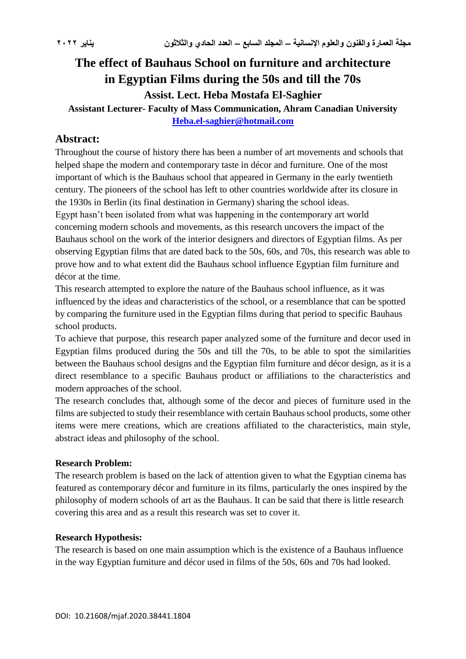# **The effect of Bauhaus School on furniture and architecture in Egyptian Films during the 50s and till the 70s Assist. Lect. Heba Mostafa El-Saghier**

**Assistant Lecturer- Faculty of Mass Communication, Ahram Canadian University [Heba.el-saghier@hotmail.com](mailto:Heba.el-saghier@hotmail.com)**

## **Abstract:**

Throughout the course of history there has been a number of art movements and schools that helped shape the modern and contemporary taste in décor and furniture. One of the most important of which is the Bauhaus school that appeared in Germany in the early twentieth century. The pioneers of the school has left to other countries worldwide after its closure in the 1930s in Berlin (its final destination in Germany) sharing the school ideas. Egypt hasn't been isolated from what was happening in the contemporary art world concerning modern schools and movements, as this research uncovers the impact of the Bauhaus school on the work of the interior designers and directors of Egyptian films. As per observing Egyptian films that are dated back to the 50s, 60s, and 70s, this research was able to prove how and to what extent did the Bauhaus school influence Egyptian film furniture and décor at the time.

This research attempted to explore the nature of the Bauhaus school influence, as it was influenced by the ideas and characteristics of the school, or a resemblance that can be spotted by comparing the furniture used in the Egyptian films during that period to specific Bauhaus school products.

To achieve that purpose, this research paper analyzed some of the furniture and decor used in Egyptian films produced during the 50s and till the 70s, to be able to spot the similarities between the Bauhaus school designs and the Egyptian film furniture and décor design, as it is a direct resemblance to a specific Bauhaus product or affiliations to the characteristics and modern approaches of the school.

The research concludes that, although some of the decor and pieces of furniture used in the films are subjected to study their resemblance with certain Bauhaus school products, some other items were mere creations, which are creations affiliated to the characteristics, main style, abstract ideas and philosophy of the school.

## **Research Problem:**

The research problem is based on the lack of attention given to what the Egyptian cinema has featured as contemporary décor and furniture in its films, particularly the ones inspired by the philosophy of modern schools of art as the Bauhaus. It can be said that there is little research covering this area and as a result this research was set to cover it.

## **Research Hypothesis:**

The research is based on one main assumption which is the existence of a Bauhaus influence in the way Egyptian furniture and décor used in films of the 50s, 60s and 70s had looked.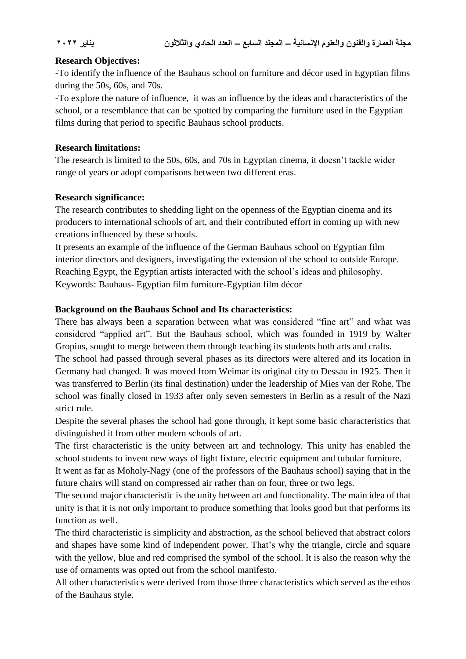## **Research Objectives:**

-To identify the influence of the Bauhaus school on furniture and décor used in Egyptian films during the 50s, 60s, and 70s.

-To explore the nature of influence, it was an influence by the ideas and characteristics of the school, or a resemblance that can be spotted by comparing the furniture used in the Egyptian films during that period to specific Bauhaus school products.

## **Research limitations:**

The research is limited to the 50s, 60s, and 70s in Egyptian cinema, it doesn't tackle wider range of years or adopt comparisons between two different eras.

## **Research significance:**

The research contributes to shedding light on the openness of the Egyptian cinema and its producers to international schools of art, and their contributed effort in coming up with new creations influenced by these schools.

It presents an example of the influence of the German Bauhaus school on Egyptian film interior directors and designers, investigating the extension of the school to outside Europe. Reaching Egypt, the Egyptian artists interacted with the school's ideas and philosophy. Keywords: Bauhaus- Egyptian film furniture-Egyptian film décor

## **Background on the Bauhaus School and Its characteristics:**

There has always been a separation between what was considered "fine art" and what was considered "applied art". But the Bauhaus school, which was founded in 1919 by Walter Gropius, sought to merge between them through teaching its students both arts and crafts.

The school had passed through several phases as its directors were altered and its location in Germany had changed. It was moved from Weimar its original city to Dessau in 1925. Then it was transferred to Berlin (its final destination) under the leadership of Mies van der Rohe. The school was finally closed in 1933 after only seven semesters in Berlin as a result of the Nazi strict rule.

Despite the several phases the school had gone through, it kept some basic characteristics that distinguished it from other modern schools of art.

The first characteristic is the unity between art and technology. This unity has enabled the school students to invent new ways of light fixture, electric equipment and tubular furniture.

It went as far as Moholy-Nagy (one of the professors of the Bauhaus school) saying that in the future chairs will stand on compressed air rather than on four, three or two legs.

The second major characteristic is the unity between art and functionality. The main idea of that unity is that it is not only important to produce something that looks good but that performs its function as well.

The third characteristic is simplicity and abstraction, as the school believed that abstract colors and shapes have some kind of independent power. That's why the triangle, circle and square with the yellow, blue and red comprised the symbol of the school. It is also the reason why the use of ornaments was opted out from the school manifesto.

All other characteristics were derived from those three characteristics which served as the ethos of the Bauhaus style.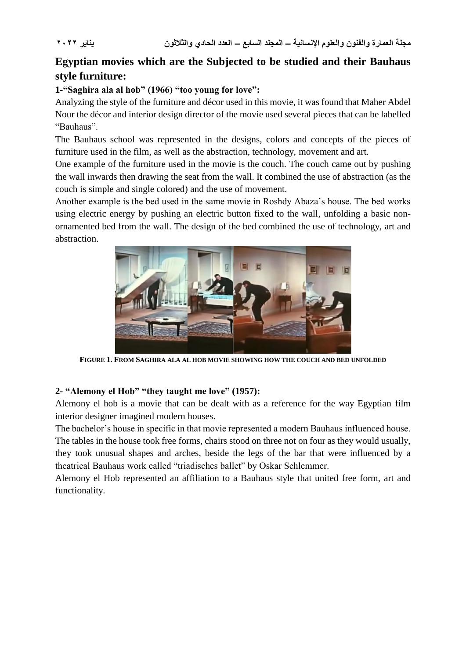## **Egyptian movies which are the Subjected to be studied and their Bauhaus style furniture:**

## **1-"Saghira ala al hob" (1966) "too young for love":**

Analyzing the style of the furniture and décor used in this movie, it was found that Maher Abdel Nour the décor and interior design director of the movie used several pieces that can be labelled "Bauhaus".

The Bauhaus school was represented in the designs, colors and concepts of the pieces of furniture used in the film, as well as the abstraction, technology, movement and art.

One example of the furniture used in the movie is the couch. The couch came out by pushing the wall inwards then drawing the seat from the wall. It combined the use of abstraction (as the couch is simple and single colored) and the use of movement.

Another example is the bed used in the same movie in Roshdy Abaza's house. The bed works using electric energy by pushing an electric button fixed to the wall, unfolding a basic nonornamented bed from the wall. The design of the bed combined the use of technology, art and abstraction.



**FIGURE 1. FROM SAGHIRA ALA AL HOB MOVIE SHOWING HOW THE COUCH AND BED UNFOLDED**

## **2- "Alemony el Hob" "they taught me love" (1957):**

Alemony el hob is a movie that can be dealt with as a reference for the way Egyptian film interior designer imagined modern houses.

The bachelor's house in specific in that movie represented a modern Bauhaus influenced house. The tables in the house took free forms, chairs stood on three not on four as they would usually, they took unusual shapes and arches, beside the legs of the bar that were influenced by a theatrical Bauhaus work called "triadisches ballet" by Oskar Schlemmer.

Alemony el Hob represented an affiliation to a Bauhaus style that united free form, art and functionality.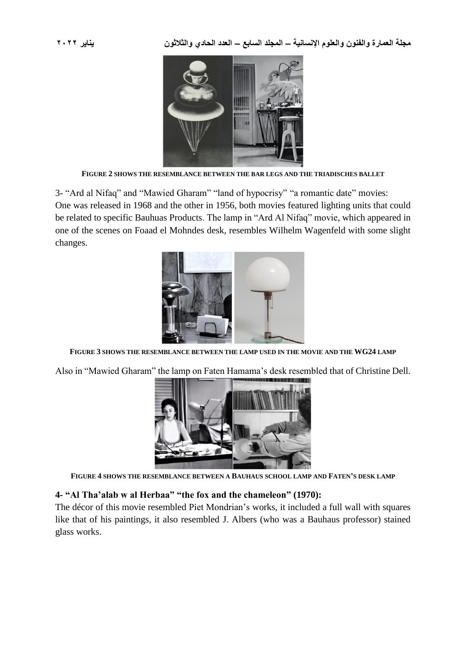**مجلة العمارة والفنون والعلوم اإلنسانية – المجلد السابع – العدد الحادي والثالثون يناير 2022**



**FIGURE 2 SHOWS THE RESEMBLANCE BETWEEN THE BAR LEGS AND THE TRIADISCHES BALLET**

3- "Ard al Nifaq" and "Mawied Gharam" "land of hypocrisy" "a romantic date" movies: One was released in 1968 and the other in 1956, both movies featured lighting units that could be related to specific Bauhuas Products. The lamp in "Ard Al Nifaq" movie, which appeared in one of the scenes on Foaad el Mohndes desk, resembles Wilhelm Wagenfeld with some slight changes.



**FIGURE 3 SHOWS THE RESEMBLANCE BETWEEN THE LAMP USED IN THE MOVIE AND THE WG24 LAMP**

Also in "Mawied Gharam" the lamp on Faten Hamama's desk resembled that of Christine Dell.



**FIGURE 4 SHOWS THE RESEMBLANCE BETWEEN A BAUHAUS SCHOOL LAMP AND FATEN'S DESK LAMP**

### **4- "Al Tha'alab w al Herbaa" "the fox and the chameleon" (1970):**

The décor of this movie resembled Piet Mondrian's works, it included a full wall with squares like that of his paintings, it also resembled J. Albers (who was a Bauhaus professor) stained glass works.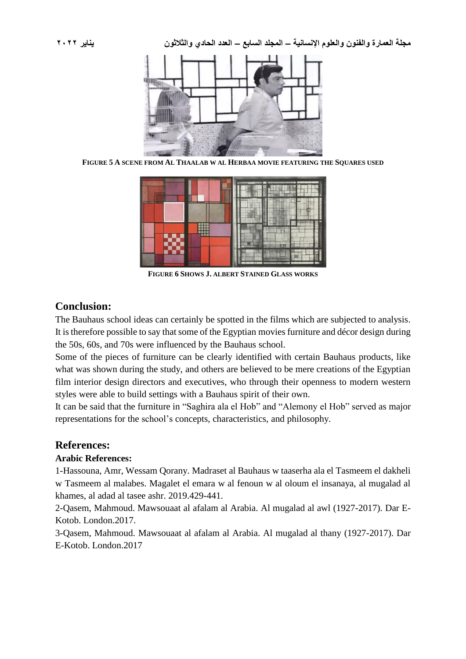**مجلة العمارة والفنون والعلوم اإلنسانية – المجلد السابع – العدد الحادي والثالثون يناير 2022**



**FIGURE 5 A SCENE FROM AL THAALAB W AL HERBAA MOVIE FEATURING THE SQUARES USED**



**FIGURE 6 SHOWS J. ALBERT STAINED GLASS WORKS**

## **Conclusion:**

The Bauhaus school ideas can certainly be spotted in the films which are subjected to analysis. It is therefore possible to say that some of the Egyptian movies furniture and décor design during the 50s, 60s, and 70s were influenced by the Bauhaus school.

Some of the pieces of furniture can be clearly identified with certain Bauhaus products, like what was shown during the study, and others are believed to be mere creations of the Egyptian film interior design directors and executives, who through their openness to modern western styles were able to build settings with a Bauhaus spirit of their own.

It can be said that the furniture in "Saghira ala el Hob" and "Alemony el Hob" served as major representations for the school's concepts, characteristics, and philosophy.

## **References:**

## **Arabic References:**

1-Hassouna, Amr, Wessam Qorany. Madraset al Bauhaus w taaserha ala el Tasmeem el dakheli w Tasmeem al malabes. Magalet el emara w al fenoun w al oloum el insanaya, al mugalad al khames, al adad al tasee ashr. 2019.429-441.

2-Qasem, Mahmoud. Mawsouaat al afalam al Arabia. Al mugalad al awl (1927-2017). Dar E-Kotob. London.2017.

3-Qasem, Mahmoud. Mawsouaat al afalam al Arabia. Al mugalad al thany (1927-2017). Dar E-Kotob. London.2017